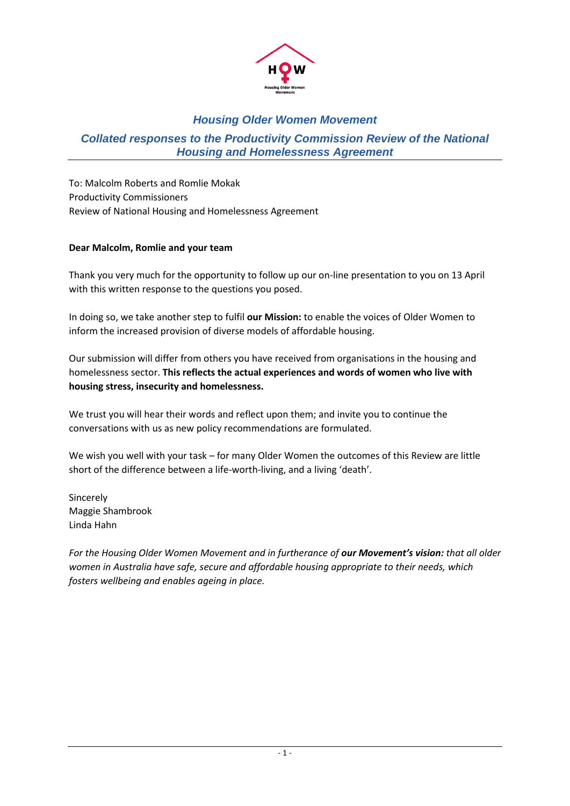

#### *Collated responses to the Productivity Commission Review of the National Housing and Homelessness Agreement*

To: Malcolm Roberts and Romlie Mokak Productivity Commissioners Review of National Housing and Homelessness Agreement

#### **Dear Malcolm, Romlie and your team**

Thank you very much for the opportunity to follow up our on-line presentation to you on 13 April with this written response to the questions you posed.

In doing so, we take another step to fulfil **our Mission:** to enable the voices of Older Women to inform the increased provision of diverse models of affordable housing.

Our submission will differ from others you have received from organisations in the housing and homelessness sector. **This reflects the actual experiences and words of women who live with housing stress, insecurity and homelessness.** 

We trust you will hear their words and reflect upon them; and invite you to continue the conversations with us as new policy recommendations are formulated.

We wish you well with your task – for many Older Women the outcomes of this Review are little short of the difference between a life-worth-living, and a living 'death'.

Sincerely Maggie Shambrook Linda Hahn

*For the Housing Older Women Movement and in furtherance of our Movement's vision: that all older women in Australia have safe, secure and affordable housing appropriate to their needs, which fosters wellbeing and enables ageing in place.*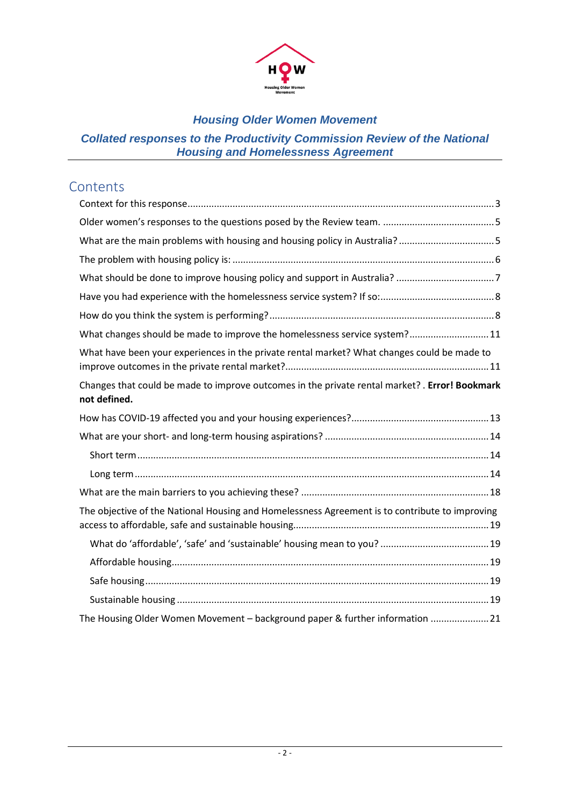

# *Collated responses to the Productivity Commission Review of the National Housing and Homelessness Agreement*

# **Contents**

| What changes should be made to improve the homelessness service system? 11                                     |
|----------------------------------------------------------------------------------------------------------------|
| What have been your experiences in the private rental market? What changes could be made to                    |
| Changes that could be made to improve outcomes in the private rental market? . Error! Bookmark<br>not defined. |
|                                                                                                                |
|                                                                                                                |
|                                                                                                                |
|                                                                                                                |
|                                                                                                                |
| The objective of the National Housing and Homelessness Agreement is to contribute to improving                 |
|                                                                                                                |
|                                                                                                                |
|                                                                                                                |
|                                                                                                                |
| The Housing Older Women Movement - background paper & further information 21                                   |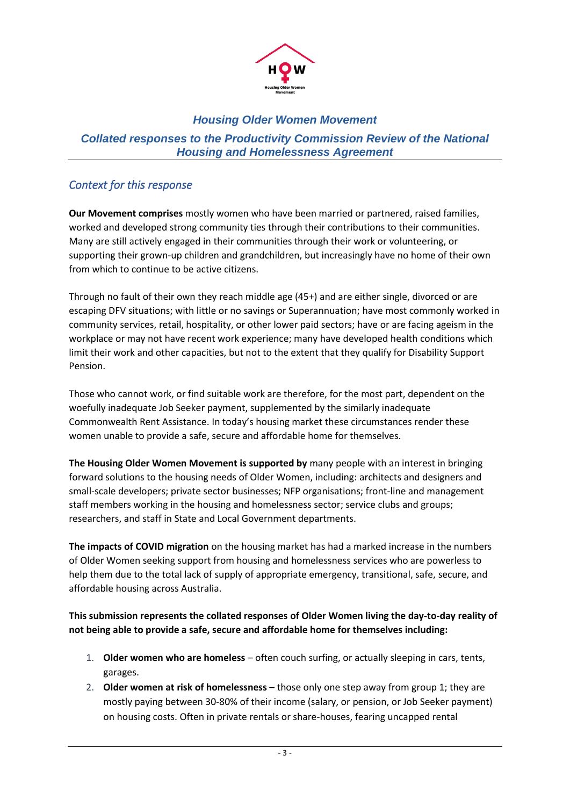

### *Collated responses to the Productivity Commission Review of the National Housing and Homelessness Agreement*

### <span id="page-2-0"></span>*Context for this response*

**Our Movement comprises** mostly women who have been married or partnered, raised families, worked and developed strong community ties through their contributions to their communities. Many are still actively engaged in their communities through their work or volunteering, or supporting their grown-up children and grandchildren, but increasingly have no home of their own from which to continue to be active citizens.

Through no fault of their own they reach middle age (45+) and are either single, divorced or are escaping DFV situations; with little or no savings or Superannuation; have most commonly worked in community services, retail, hospitality, or other lower paid sectors; have or are facing ageism in the workplace or may not have recent work experience; many have developed health conditions which limit their work and other capacities, but not to the extent that they qualify for Disability Support Pension.

Those who cannot work, or find suitable work are therefore, for the most part, dependent on the woefully inadequate Job Seeker payment, supplemented by the similarly inadequate Commonwealth Rent Assistance. In today's housing market these circumstances render these women unable to provide a safe, secure and affordable home for themselves.

**The Housing Older Women Movement is supported by** many people with an interest in bringing forward solutions to the housing needs of Older Women, including: architects and designers and small-scale developers; private sector businesses; NFP organisations; front-line and management staff members working in the housing and homelessness sector; service clubs and groups; researchers, and staff in State and Local Government departments.

**The impacts of COVID migration** on the housing market has had a marked increase in the numbers of Older Women seeking support from housing and homelessness services who are powerless to help them due to the total lack of supply of appropriate emergency, transitional, safe, secure, and affordable housing across Australia.

#### **This submission represents the collated responses of Older Women living the day-to-day reality of not being able to provide a safe, secure and affordable home for themselves including:**

- 1. **Older women who are homeless** often couch surfing, or actually sleeping in cars, tents, garages.
- 2. **Older women at risk of homelessness** those only one step away from group 1; they are mostly paying between 30-80% of their income (salary, or pension, or Job Seeker payment) on housing costs. Often in private rentals or share-houses, fearing uncapped rental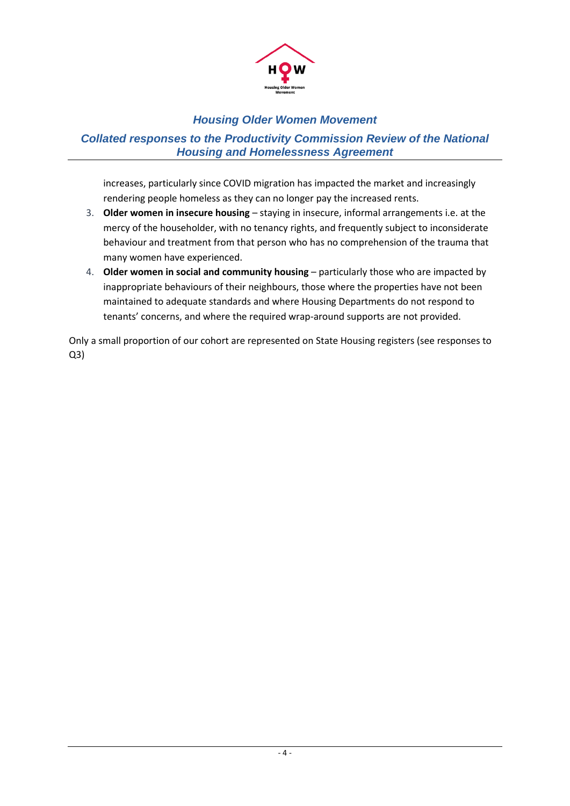

### *Collated responses to the Productivity Commission Review of the National Housing and Homelessness Agreement*

increases, particularly since COVID migration has impacted the market and increasingly rendering people homeless as they can no longer pay the increased rents.

- 3. **Older women in insecure housing** staying in insecure, informal arrangements i.e. at the mercy of the householder, with no tenancy rights, and frequently subject to inconsiderate behaviour and treatment from that person who has no comprehension of the trauma that many women have experienced.
- 4. **Older women in social and community housing** particularly those who are impacted by inappropriate behaviours of their neighbours, those where the properties have not been maintained to adequate standards and where Housing Departments do not respond to tenants' concerns, and where the required wrap-around supports are not provided.

Only a small proportion of our cohort are represented on State Housing registers (see responses to  $Q3$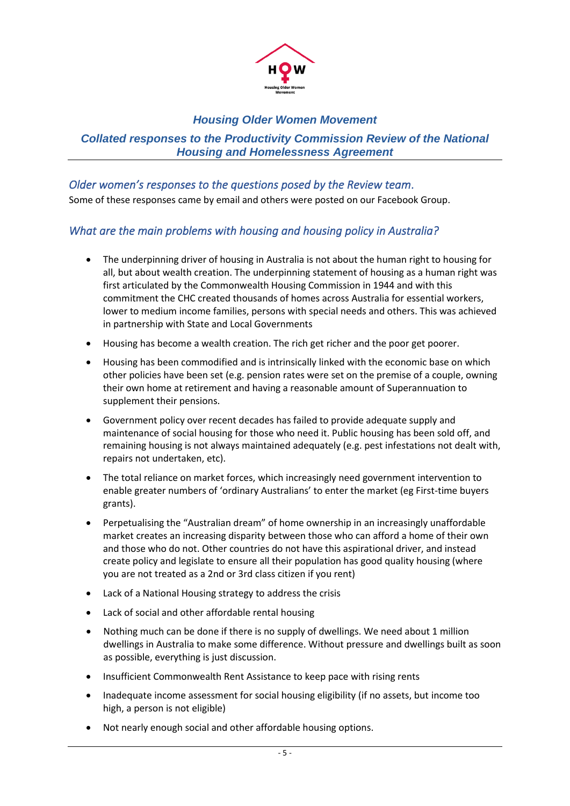

#### *Collated responses to the Productivity Commission Review of the National Housing and Homelessness Agreement*

<span id="page-4-0"></span>*Older women's responses to the questions posed by the Review team.*  Some of these responses came by email and others were posted on our Facebook Group.

# <span id="page-4-1"></span>*What are the main problems with housing and housing policy in Australia?*

- The underpinning driver of housing in Australia is not about the human right to housing for all, but about wealth creation. The underpinning statement of housing as a human right was first articulated by the Commonwealth Housing Commission in 1944 and with this commitment the CHC created thousands of homes across Australia for essential workers, lower to medium income families, persons with special needs and others. This was achieved in partnership with State and Local Governments
- Housing has become a wealth creation. The rich get richer and the poor get poorer.
- Housing has been commodified and is intrinsically linked with the economic base on which other policies have been set (e.g. pension rates were set on the premise of a couple, owning their own home at retirement and having a reasonable amount of Superannuation to supplement their pensions.
- Government policy over recent decades has failed to provide adequate supply and maintenance of social housing for those who need it. Public housing has been sold off, and remaining housing is not always maintained adequately (e.g. pest infestations not dealt with, repairs not undertaken, etc).
- The total reliance on market forces, which increasingly need government intervention to enable greater numbers of 'ordinary Australians' to enter the market (eg First-time buyers grants).
- Perpetualising the "Australian dream" of home ownership in an increasingly unaffordable market creates an increasing disparity between those who can afford a home of their own and those who do not. Other countries do not have this aspirational driver, and instead create policy and legislate to ensure all their population has good quality housing (where you are not treated as a 2nd or 3rd class citizen if you rent)
- Lack of a National Housing strategy to address the crisis
- Lack of social and other affordable rental housing
- Nothing much can be done if there is no supply of dwellings. We need about 1 million dwellings in Australia to make some difference. Without pressure and dwellings built as soon as possible, everything is just discussion.
- Insufficient Commonwealth Rent Assistance to keep pace with rising rents
- Inadequate income assessment for social housing eligibility (if no assets, but income too high, a person is not eligible)
- Not nearly enough social and other affordable housing options.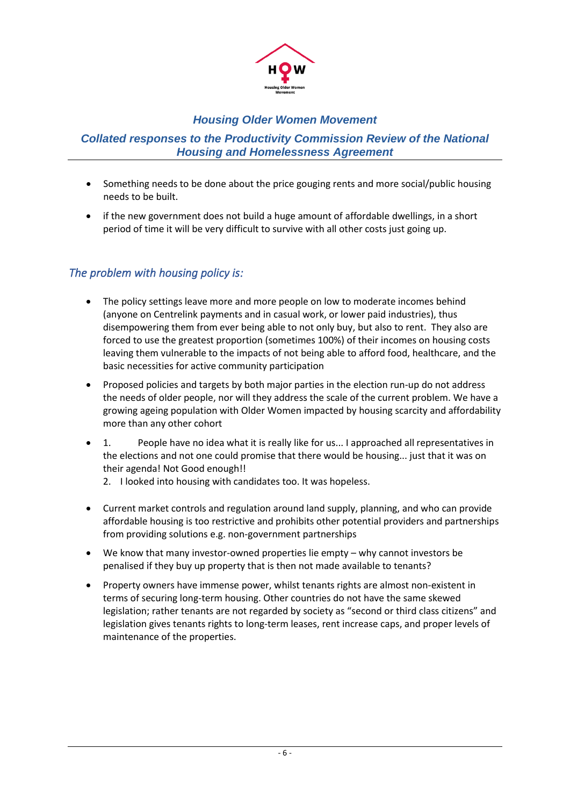

### *Collated responses to the Productivity Commission Review of the National Housing and Homelessness Agreement*

- Something needs to be done about the price gouging rents and more social/public housing needs to be built.
- if the new government does not build a huge amount of affordable dwellings, in a short period of time it will be very difficult to survive with all other costs just going up.

# <span id="page-5-0"></span>*The problem with housing policy is:*

- The policy settings leave more and more people on low to moderate incomes behind (anyone on Centrelink payments and in casual work, or lower paid industries), thus disempowering them from ever being able to not only buy, but also to rent. They also are forced to use the greatest proportion (sometimes 100%) of their incomes on housing costs leaving them vulnerable to the impacts of not being able to afford food, healthcare, and the basic necessities for active community participation
- Proposed policies and targets by both major parties in the election run-up do not address the needs of older people, nor will they address the scale of the current problem. We have a growing ageing population with Older Women impacted by housing scarcity and affordability more than any other cohort
- 1. People have no idea what it is really like for us... I approached all representatives in the elections and not one could promise that there would be housing... just that it was on their agenda! Not Good enough!!
	- 2. I looked into housing with candidates too. It was hopeless.
- Current market controls and regulation around land supply, planning, and who can provide affordable housing is too restrictive and prohibits other potential providers and partnerships from providing solutions e.g. non-government partnerships
- We know that many investor-owned properties lie empty why cannot investors be penalised if they buy up property that is then not made available to tenants?
- Property owners have immense power, whilst tenants rights are almost non-existent in terms of securing long-term housing. Other countries do not have the same skewed legislation; rather tenants are not regarded by society as "second or third class citizens" and legislation gives tenants rights to long-term leases, rent increase caps, and proper levels of maintenance of the properties.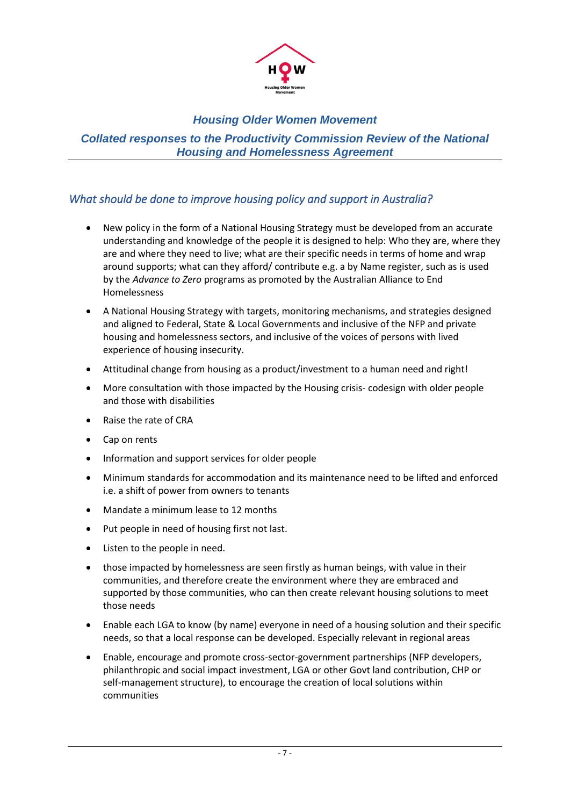

### *Collated responses to the Productivity Commission Review of the National Housing and Homelessness Agreement*

# <span id="page-6-0"></span>*What should be done to improve housing policy and support in Australia?*

- New policy in the form of a National Housing Strategy must be developed from an accurate understanding and knowledge of the people it is designed to help: Who they are, where they are and where they need to live; what are their specific needs in terms of home and wrap around supports; what can they afford/ contribute e.g. a by Name register, such as is used by the *Advance to Zero* programs as promoted by the Australian Alliance to End Homelessness
- A National Housing Strategy with targets, monitoring mechanisms, and strategies designed and aligned to Federal, State & Local Governments and inclusive of the NFP and private housing and homelessness sectors, and inclusive of the voices of persons with lived experience of housing insecurity.
- Attitudinal change from housing as a product/investment to a human need and right!
- More consultation with those impacted by the Housing crisis- codesign with older people and those with disabilities
- Raise the rate of CRA
- Cap on rents
- Information and support services for older people
- Minimum standards for accommodation and its maintenance need to be lifted and enforced i.e. a shift of power from owners to tenants
- Mandate a minimum lease to 12 months
- Put people in need of housing first not last.
- Listen to the people in need.
- those impacted by homelessness are seen firstly as human beings, with value in their communities, and therefore create the environment where they are embraced and supported by those communities, who can then create relevant housing solutions to meet those needs
- Enable each LGA to know (by name) everyone in need of a housing solution and their specific needs, so that a local response can be developed. Especially relevant in regional areas
- Enable, encourage and promote cross-sector-government partnerships (NFP developers, philanthropic and social impact investment, LGA or other Govt land contribution, CHP or self-management structure), to encourage the creation of local solutions within communities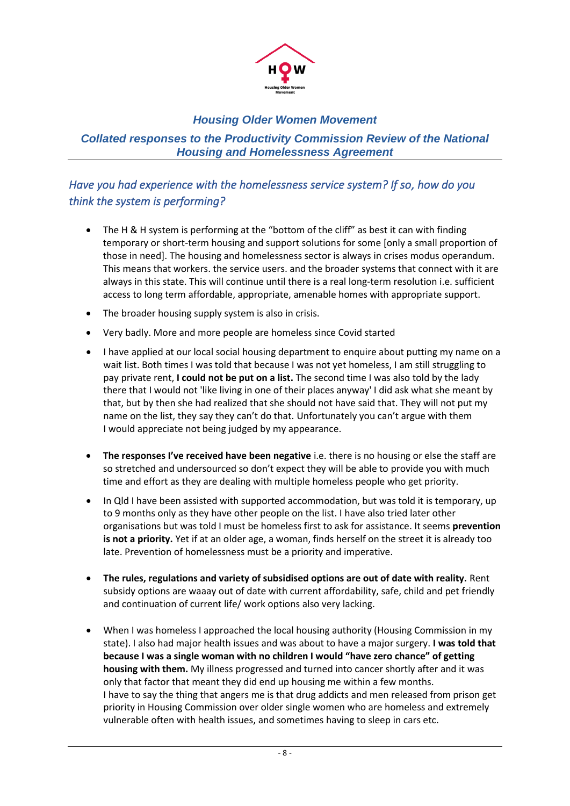<span id="page-7-1"></span>

*Collated responses to the Productivity Commission Review of the National Housing and Homelessness Agreement*

# <span id="page-7-0"></span>*Have you had experience with the homelessness service system? If so, how do you think the system is performing?*

- The H & H system is performing at the "bottom of the cliff" as best it can with finding temporary or short-term housing and support solutions for some [only a small proportion of those in need]. The housing and homelessness sector is always in crises modus operandum. This means that workers. the service users. and the broader systems that connect with it are always in this state. This will continue until there is a real long-term resolution i.e. sufficient access to long term affordable, appropriate, amenable homes with appropriate support.
- The broader housing supply system is also in crisis.
- Very badly. More and more people are homeless since Covid started
- I have applied at our local social housing department to enquire about putting my name on a wait list. Both times I was told that because I was not yet homeless, I am still struggling to pay private rent, **I could not be put on a list.** The second time I was also told by the lady there that I would not 'like living in one of their places anyway' I did ask what she meant by that, but by then she had realized that she should not have said that. They will not put my name on the list, they say they can't do that. Unfortunately you can't argue with them I would appreciate not being judged by my appearance.
- **The responses I've received have been negative** i.e. there is no housing or else the staff are so stretched and undersourced so don't expect they will be able to provide you with much time and effort as they are dealing with multiple homeless people who get priority.
- In Qld I have been assisted with supported accommodation, but was told it is temporary, up to 9 months only as they have other people on the list. I have also tried later other organisations but was told I must be homeless first to ask for assistance. It seems **prevention is not a priority.** Yet if at an older age, a woman, finds herself on the street it is already too late. Prevention of homelessness must be a priority and imperative.
- **The rules, regulations and variety of subsidised options are out of date with reality.** Rent subsidy options are waaay out of date with current affordability, safe, child and pet friendly and continuation of current life/ work options also very lacking.
- When I was homeless I approached the local housing authority (Housing Commission in my state). I also had major health issues and was about to have a major surgery. **I was told that because I was a single woman with no children I would "have zero chance" of getting housing with them.** My illness progressed and turned into cancer shortly after and it was only that factor that meant they did end up housing me within a few months. I have to say the thing that angers me is that drug addicts and men released from prison get priority in Housing Commission over older single women who are homeless and extremely vulnerable often with health issues, and sometimes having to sleep in cars etc.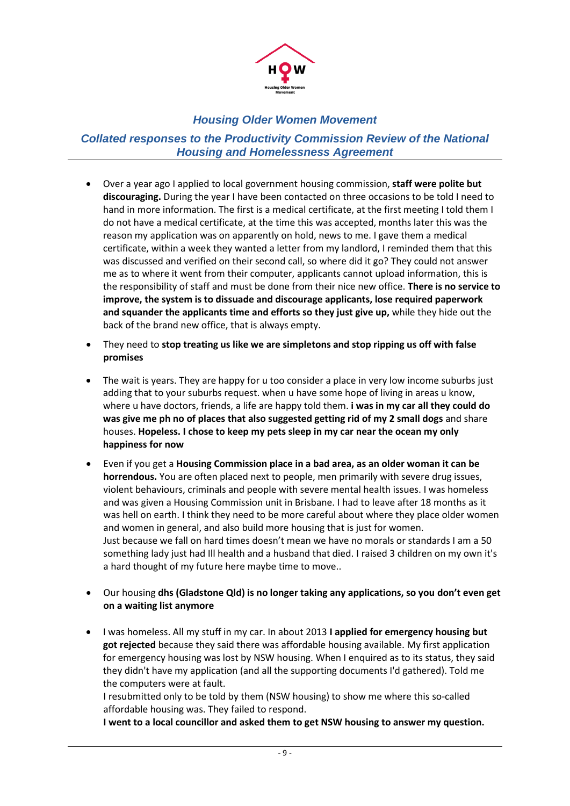

*Collated responses to the Productivity Commission Review of the National Housing and Homelessness Agreement*

- Over a year ago I applied to local government housing commission, **staff were polite but discouraging.** During the year I have been contacted on three occasions to be told I need to hand in more information. The first is a medical certificate, at the first meeting I told them I do not have a medical certificate, at the time this was accepted, months later this was the reason my application was on apparently on hold, news to me. I gave them a medical certificate, within a week they wanted a letter from my landlord, I reminded them that this was discussed and verified on their second call, so where did it go? They could not answer me as to where it went from their computer, applicants cannot upload information, this is the responsibility of staff and must be done from their nice new office. **There is no service to improve, the system is to dissuade and discourage applicants, lose required paperwork and squander the applicants time and efforts so they just give up,** while they hide out the back of the brand new office, that is always empty.
- They need to **stop treating us like we are simpletons and stop ripping us off with false promises**
- The wait is years. They are happy for u too consider a place in very low income suburbs just adding that to your suburbs request. when u have some hope of living in areas u know, where u have doctors, friends, a life are happy told them. **i was in my car all they could do was give me ph no of places that also suggested getting rid of my 2 small dogs** and share houses. **Hopeless. I chose to keep my pets sleep in my car near the ocean my only happiness for now**
- Even if you get a **Housing Commission place in a bad area, as an older woman it can be horrendous.** You are often placed next to people, men primarily with severe drug issues, violent behaviours, criminals and people with severe mental health issues. I was homeless and was given a Housing Commission unit in Brisbane. I had to leave after 18 months as it was hell on earth. I think they need to be more careful about where they place older women and women in general, and also build more housing that is just for women. Just because we fall on hard times doesn't mean we have no morals or standards I am a 50 something lady just had Ill health and a husband that died. I raised 3 children on my own it's a hard thought of my future here maybe time to move..
- Our housing **dhs (Gladstone Qld) is no longer taking any applications, so you don't even get on a waiting list anymore**
- I was homeless. All my stuff in my car. In about 2013 **I applied for emergency housing but got rejected** because they said there was affordable housing available. My first application for emergency housing was lost by NSW housing. When I enquired as to its status, they said they didn't have my application (and all the supporting documents I'd gathered). Told me the computers were at fault.

I resubmitted only to be told by them (NSW housing) to show me where this so-called affordable housing was. They failed to respond.

**I went to a local councillor and asked them to get NSW housing to answer my question.**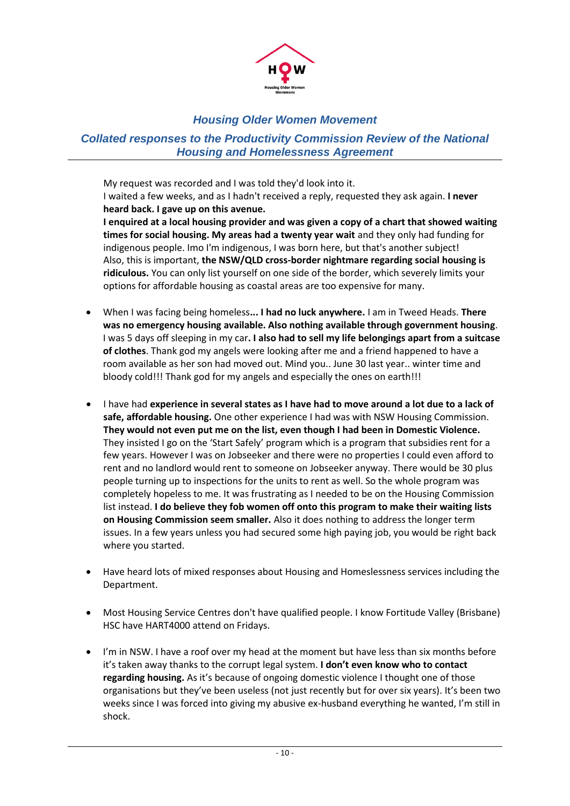

### *Collated responses to the Productivity Commission Review of the National Housing and Homelessness Agreement*

My request was recorded and I was told they'd look into it. I waited a few weeks, and as I hadn't received a reply, requested they ask again. **I never heard back. I gave up on this avenue.**

**I enquired at a local housing provider and was given a copy of a chart that showed waiting times for social housing. My areas had a twenty year wait** and they only had funding for indigenous people. Imo I'm indigenous, I was born here, but that's another subject! Also, this is important, **the NSW/QLD cross-border nightmare regarding social housing is ridiculous.** You can only list yourself on one side of the border, which severely limits your options for affordable housing as coastal areas are too expensive for many.

- When I was facing being homeless**... I had no luck anywhere.** I am in Tweed Heads. **There was no emergency housing available. Also nothing available through government housing**. I was 5 days off sleeping in my car**. I also had to sell my life belongings apart from a suitcase of clothes**. Thank god my angels were looking after me and a friend happened to have a room available as her son had moved out. Mind you.. June 30 last year.. winter time and bloody cold!!! Thank god for my angels and especially the ones on earth!!!
- I have had **experience in several states as I have had to move around a lot due to a lack of safe, affordable housing.** One other experience I had was with NSW Housing Commission. **They would not even put me on the list, even though I had been in Domestic Violence.** They insisted I go on the 'Start Safely' program which is a program that subsidies rent for a few years. However I was on Jobseeker and there were no properties I could even afford to rent and no landlord would rent to someone on Jobseeker anyway. There would be 30 plus people turning up to inspections for the units to rent as well. So the whole program was completely hopeless to me. It was frustrating as I needed to be on the Housing Commission list instead. **I do believe they fob women off onto this program to make their waiting lists on Housing Commission seem smaller.** Also it does nothing to address the longer term issues. In a few years unless you had secured some high paying job, you would be right back where you started.
- Have heard lots of mixed responses about Housing and Homeslessness services including the Department.
- Most Housing Service Centres don't have qualified people. I know Fortitude Valley (Brisbane) HSC have HART4000 attend on Fridays.
- I'm in NSW. I have a roof over my head at the moment but have less than six months before it's taken away thanks to the corrupt legal system. **I don't even know who to contact regarding housing.** As it's because of ongoing domestic violence I thought one of those organisations but they've been useless (not just recently but for over six years). It's been two weeks since I was forced into giving my abusive ex-husband everything he wanted, I'm still in shock.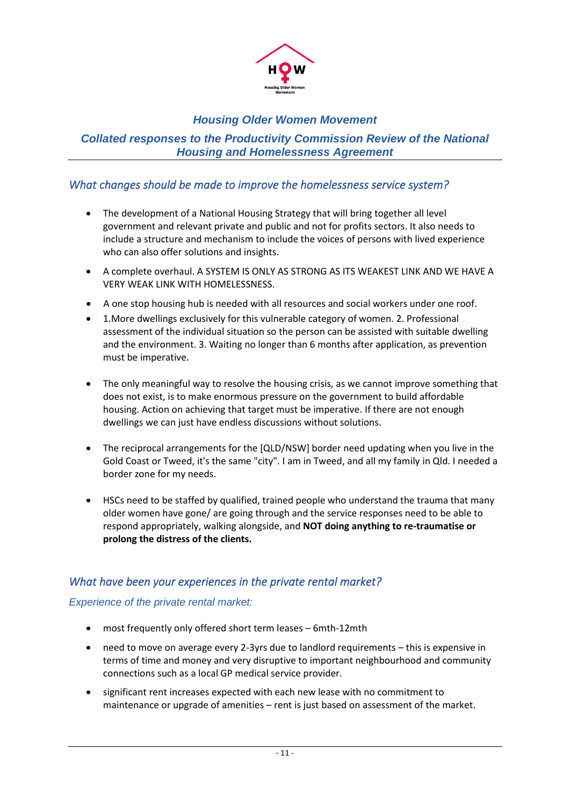

#### *Collated responses to the Productivity Commission Review of the National Housing and Homelessness Agreement*

### <span id="page-10-0"></span>*What changes should be made to improve the homelessness service system?*

- The development of a National Housing Strategy that will bring together all level government and relevant private and public and not for profits sectors. It also needs to include a structure and mechanism to include the voices of persons with lived experience who can also offer solutions and insights.
- A complete overhaul. A SYSTEM IS ONLY AS STRONG AS ITS WEAKEST LINK AND WE HAVE A VERY WEAK LINK WITH HOMELESSNESS.
- A one stop housing hub is needed with all resources and social workers under one roof.
- 1.More dwellings exclusively for this vulnerable category of women. 2. Professional assessment of the individual situation so the person can be assisted with suitable dwelling and the environment. 3. Waiting no longer than 6 months after application, as prevention must be imperative.
- The only meaningful way to resolve the housing crisis, as we cannot improve something that does not exist, is to make enormous pressure on the government to build affordable housing. Action on achieving that target must be imperative. If there are not enough dwellings we can just have endless discussions without solutions.
- The reciprocal arrangements for the [QLD/NSW] border need updating when you live in the Gold Coast or Tweed, it's the same "city". I am in Tweed, and all my family in Qld. I needed a border zone for my needs.
- HSCs need to be staffed by qualified, trained people who understand the trauma that many older women have gone/ are going through and the service responses need to be able to respond appropriately, walking alongside, and **NOT doing anything to re-traumatise or prolong the distress of the clients.**

### <span id="page-10-1"></span>*What have been your experiences in the private rental market?*

#### *Experience of the private rental market:*

- most frequently only offered short term leases 6mth-12mth
- need to move on average every 2-3yrs due to landlord requirements this is expensive in terms of time and money and very disruptive to important neighbourhood and community connections such as a local GP medical service provider.
- significant rent increases expected with each new lease with no commitment to maintenance or upgrade of amenities – rent is just based on assessment of the market.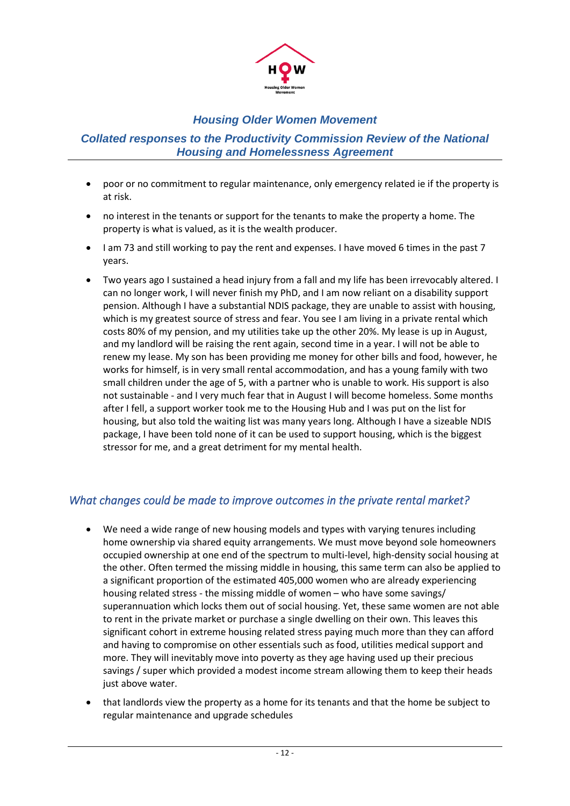

#### *Collated responses to the Productivity Commission Review of the National Housing and Homelessness Agreement*

- poor or no commitment to regular maintenance, only emergency related ie if the property is at risk.
- no interest in the tenants or support for the tenants to make the property a home. The property is what is valued, as it is the wealth producer.
- I am 73 and still working to pay the rent and expenses. I have moved 6 times in the past 7 years.
- Two years ago I sustained a head injury from a fall and my life has been irrevocably altered. I can no longer work, I will never finish my PhD, and I am now reliant on a disability support pension. Although I have a substantial NDIS package, they are unable to assist with housing, which is my greatest source of stress and fear. You see I am living in a private rental which costs 80% of my pension, and my utilities take up the other 20%. My lease is up in August, and my landlord will be raising the rent again, second time in a year. I will not be able to renew my lease. My son has been providing me money for other bills and food, however, he works for himself, is in very small rental accommodation, and has a young family with two small children under the age of 5, with a partner who is unable to work. His support is also not sustainable - and I very much fear that in August I will become homeless. Some months after I fell, a support worker took me to the Housing Hub and I was put on the list for housing, but also told the waiting list was many years long. Although I have a sizeable NDIS package, I have been told none of it can be used to support housing, which is the biggest stressor for me, and a great detriment for my mental health.

### *What changes could be made to improve outcomes in the private rental market?*

- We need a wide range of new housing models and types with varying tenures including home ownership via shared equity arrangements. We must move beyond sole homeowners occupied ownership at one end of the spectrum to multi-level, high-density social housing at the other. Often termed the missing middle in housing, this same term can also be applied to a significant proportion of the estimated 405,000 women who are already experiencing housing related stress - the missing middle of women – who have some savings/ superannuation which locks them out of social housing. Yet, these same women are not able to rent in the private market or purchase a single dwelling on their own. This leaves this significant cohort in extreme housing related stress paying much more than they can afford and having to compromise on other essentials such as food, utilities medical support and more. They will inevitably move into poverty as they age having used up their precious savings / super which provided a modest income stream allowing them to keep their heads just above water.
- that landlords view the property as a home for its tenants and that the home be subject to regular maintenance and upgrade schedules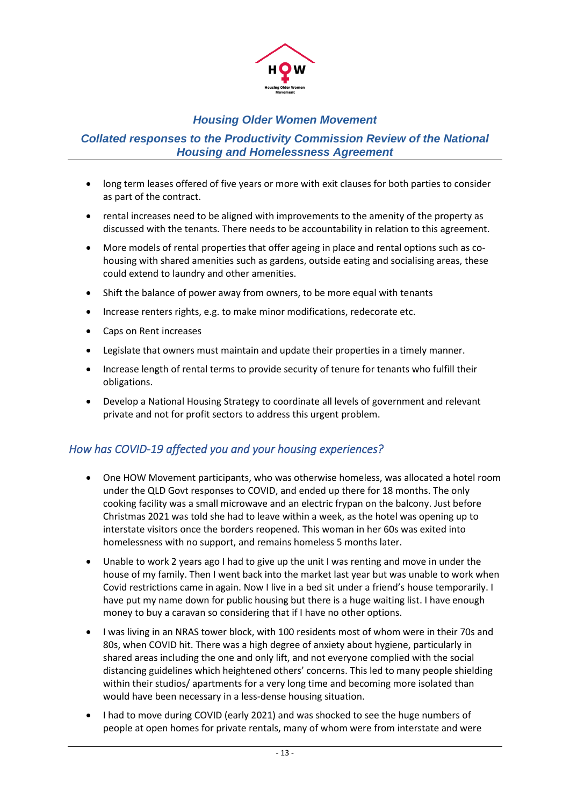

#### *Collated responses to the Productivity Commission Review of the National Housing and Homelessness Agreement*

- long term leases offered of five years or more with exit clauses for both parties to consider as part of the contract.
- rental increases need to be aligned with improvements to the amenity of the property as discussed with the tenants. There needs to be accountability in relation to this agreement.
- More models of rental properties that offer ageing in place and rental options such as cohousing with shared amenities such as gardens, outside eating and socialising areas, these could extend to laundry and other amenities.
- Shift the balance of power away from owners, to be more equal with tenants
- Increase renters rights, e.g. to make minor modifications, redecorate etc.
- Caps on Rent increases
- Legislate that owners must maintain and update their properties in a timely manner.
- Increase length of rental terms to provide security of tenure for tenants who fulfill their obligations.
- Develop a National Housing Strategy to coordinate all levels of government and relevant private and not for profit sectors to address this urgent problem.

### <span id="page-12-0"></span>*How has COVID-19 affected you and your housing experiences?*

- One HOW Movement participants, who was otherwise homeless, was allocated a hotel room under the QLD Govt responses to COVID, and ended up there for 18 months. The only cooking facility was a small microwave and an electric frypan on the balcony. Just before Christmas 2021 was told she had to leave within a week, as the hotel was opening up to interstate visitors once the borders reopened. This woman in her 60s was exited into homelessness with no support, and remains homeless 5 months later.
- Unable to work 2 years ago I had to give up the unit I was renting and move in under the house of my family. Then I went back into the market last year but was unable to work when Covid restrictions came in again. Now I live in a bed sit under a friend's house temporarily. I have put my name down for public housing but there is a huge waiting list. I have enough money to buy a caravan so considering that if I have no other options.
- I was living in an NRAS tower block, with 100 residents most of whom were in their 70s and 80s, when COVID hit. There was a high degree of anxiety about hygiene, particularly in shared areas including the one and only lift, and not everyone complied with the social distancing guidelines which heightened others' concerns. This led to many people shielding within their studios/ apartments for a very long time and becoming more isolated than would have been necessary in a less-dense housing situation.
- I had to move during COVID (early 2021) and was shocked to see the huge numbers of people at open homes for private rentals, many of whom were from interstate and were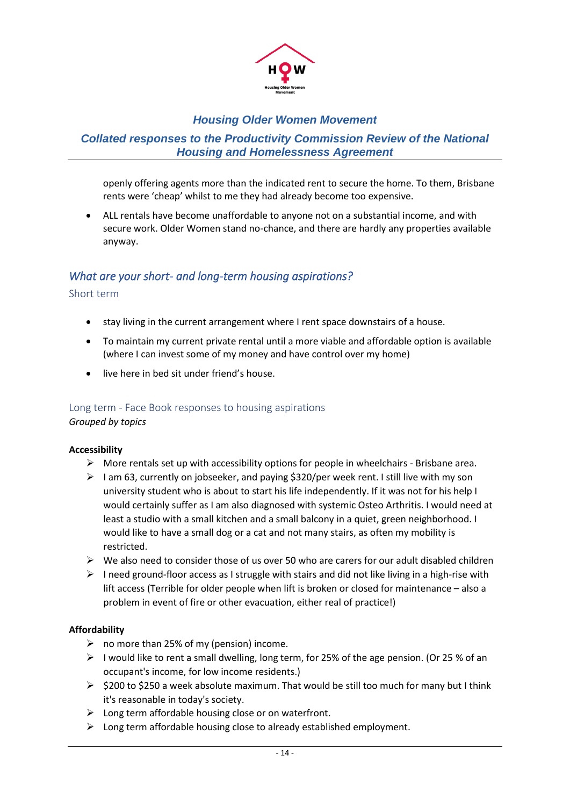

#### *Collated responses to the Productivity Commission Review of the National Housing and Homelessness Agreement*

openly offering agents more than the indicated rent to secure the home. To them, Brisbane rents were 'cheap' whilst to me they had already become too expensive.

• ALL rentals have become unaffordable to anyone not on a substantial income, and with secure work. Older Women stand no-chance, and there are hardly any properties available anyway.

### <span id="page-13-0"></span>*What are your short- and long-term housing aspirations?*

#### <span id="page-13-1"></span>Short term

- stay living in the current arrangement where I rent space downstairs of a house.
- To maintain my current private rental until a more viable and affordable option is available (where I can invest some of my money and have control over my home)
- live here in bed sit under friend's house.

### <span id="page-13-2"></span>Long term - Face Book responses to housing aspirations

*Grouped by topics*

#### **Accessibility**

- $\triangleright$  More rentals set up with accessibility options for people in wheelchairs Brisbane area.
- $\geq 1$  am 63, currently on jobseeker, and paying \$320/per week rent. I still live with my son university student who is about to start his life independently. If it was not for his help I would certainly suffer as I am also diagnosed with systemic Osteo Arthritis. I would need at least a studio with a small kitchen and a small balcony in a quiet, green neighborhood. I would like to have a small dog or a cat and not many stairs, as often my mobility is restricted.
- $\triangleright$  We also need to consider those of us over 50 who are carers for our adult disabled children
- $\triangleright$  I need ground-floor access as I struggle with stairs and did not like living in a high-rise with lift access (Terrible for older people when lift is broken or closed for maintenance – also a problem in event of fire or other evacuation, either real of practice!)

#### **Affordability**

- $\triangleright$  no more than 25% of my (pension) income.
- $\triangleright$  I would like to rent a small dwelling, long term, for 25% of the age pension. (Or 25 % of an occupant's income, for low income residents.)
- ➢ \$200 to \$250 a week absolute maximum. That would be still too much for many but I think it's reasonable in today's society.
- $\triangleright$  Long term affordable housing close or on waterfront.
- ➢ Long term affordable housing close to already established employment.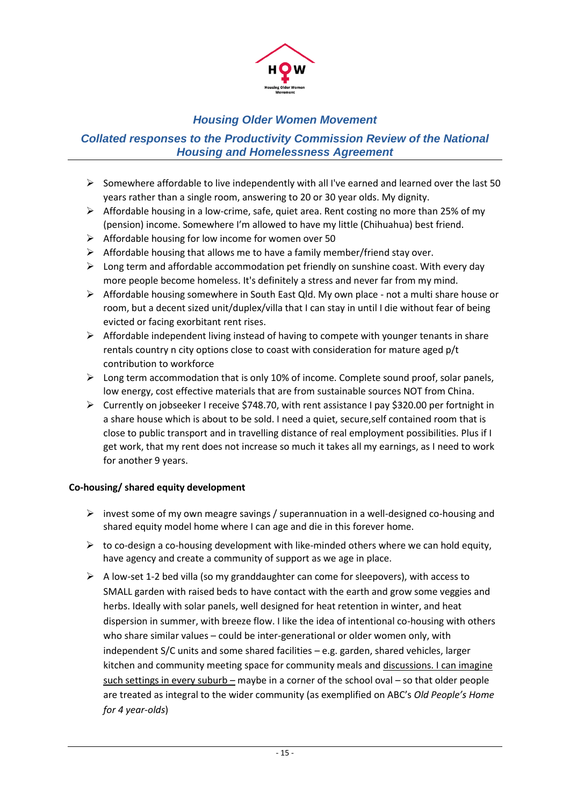

### *Collated responses to the Productivity Commission Review of the National Housing and Homelessness Agreement*

- ➢ Somewhere affordable to live independently with all I've earned and learned over the last 50 years rather than a single room, answering to 20 or 30 year olds. My dignity.
- $\triangleright$  Affordable housing in a low-crime, safe, quiet area. Rent costing no more than 25% of my (pension) income. Somewhere I'm allowed to have my little (Chihuahua) best friend.
- $\triangleright$  Affordable housing for low income for women over 50
- ➢ Affordable housing that allows me to have a family member/friend stay over.
- $\triangleright$  Long term and affordable accommodation pet friendly on sunshine coast. With every day more people become homeless. It's definitely a stress and never far from my mind.
- ➢ Affordable housing somewhere in South East Qld. My own place not a multi share house or room, but a decent sized unit/duplex/villa that I can stay in until I die without fear of being evicted or facing exorbitant rent rises.
- $\triangleright$  Affordable independent living instead of having to compete with younger tenants in share rentals country n city options close to coast with consideration for mature aged p/t contribution to workforce
- $\triangleright$  Long term accommodation that is only 10% of income. Complete sound proof, solar panels, low energy, cost effective materials that are from sustainable sources NOT from China.
- $\triangleright$  Currently on jobseeker I receive \$748.70, with rent assistance I pay \$320.00 per fortnight in a share house which is about to be sold. I need a quiet, secure,self contained room that is close to public transport and in travelling distance of real employment possibilities. Plus if I get work, that my rent does not increase so much it takes all my earnings, as I need to work for another 9 years.

#### **Co-housing/ shared equity development**

- $\triangleright$  invest some of my own meagre savings / superannuation in a well-designed co-housing and shared equity model home where I can age and die in this forever home.
- $\triangleright$  to co-design a co-housing development with like-minded others where we can hold equity, have agency and create a community of support as we age in place.
- $\triangleright$  A low-set 1-2 bed villa (so my granddaughter can come for sleepovers), with access to SMALL garden with raised beds to have contact with the earth and grow some veggies and herbs. Ideally with solar panels, well designed for heat retention in winter, and heat dispersion in summer, with breeze flow. I like the idea of intentional co-housing with others who share similar values – could be inter-generational or older women only, with independent S/C units and some shared facilities – e.g. garden, shared vehicles, larger kitchen and community meeting space for community meals and discussions. I can imagine such settings in every suburb – maybe in a corner of the school oval – so that older people are treated as integral to the wider community (as exemplified on ABC's *Old People's Home for 4 year-olds*)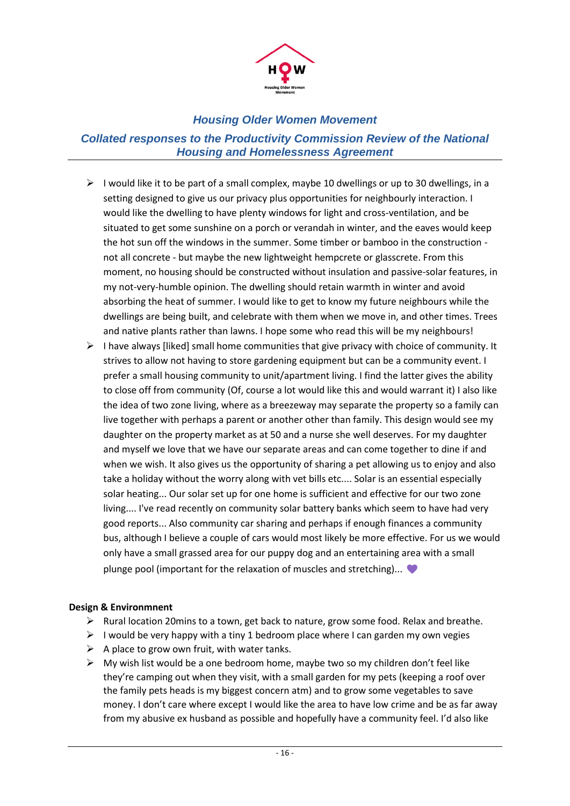

*Collated responses to the Productivity Commission Review of the National Housing and Homelessness Agreement*

- ➢ I would like it to be part of a small complex, maybe 10 dwellings or up to 30 dwellings, in a setting designed to give us our privacy plus opportunities for neighbourly interaction. I would like the dwelling to have plenty windows for light and cross-ventilation, and be situated to get some sunshine on a porch or verandah in winter, and the eaves would keep the hot sun off the windows in the summer. Some timber or bamboo in the construction not all concrete - but maybe the new lightweight hempcrete or glasscrete. From this moment, no housing should be constructed without insulation and passive-solar features, in my not-very-humble opinion. The dwelling should retain warmth in winter and avoid absorbing the heat of summer. I would like to get to know my future neighbours while the dwellings are being built, and celebrate with them when we move in, and other times. Trees and native plants rather than lawns. I hope some who read this will be my neighbours!
- $\triangleright$  I have always [liked] small home communities that give privacy with choice of community. It strives to allow not having to store gardening equipment but can be a community event. I prefer a small housing community to unit/apartment living. I find the latter gives the ability to close off from community (Of, course a lot would like this and would warrant it) I also like the idea of two zone living, where as a breezeway may separate the property so a family can live together with perhaps a parent or another other than family. This design would see my daughter on the property market as at 50 and a nurse she well deserves. For my daughter and myself we love that we have our separate areas and can come together to dine if and when we wish. It also gives us the opportunity of sharing a pet allowing us to enjoy and also take a holiday without the worry along with vet bills etc.... Solar is an essential especially solar heating... Our solar set up for one home is sufficient and effective for our two zone living.... I've read recently on community solar battery banks which seem to have had very good reports... Also community car sharing and perhaps if enough finances a community bus, although I believe a couple of cars would most likely be more effective. For us we would only have a small grassed area for our puppy dog and an entertaining area with a small plunge pool (important for the relaxation of muscles and stretching)...

#### **Design & Environmnent**

- ➢ Rural location 20mins to a town, get back to nature, grow some food. Relax and breathe.
- $\triangleright$  I would be very happy with a tiny 1 bedroom place where I can garden my own vegies
- $\triangleright$  A place to grow own fruit, with water tanks.
- $\triangleright$  My wish list would be a one bedroom home, maybe two so my children don't feel like they're camping out when they visit, with a small garden for my pets (keeping a roof over the family pets heads is my biggest concern atm) and to grow some vegetables to save money. I don't care where except I would like the area to have low crime and be as far away from my abusive ex husband as possible and hopefully have a community feel. I'd also like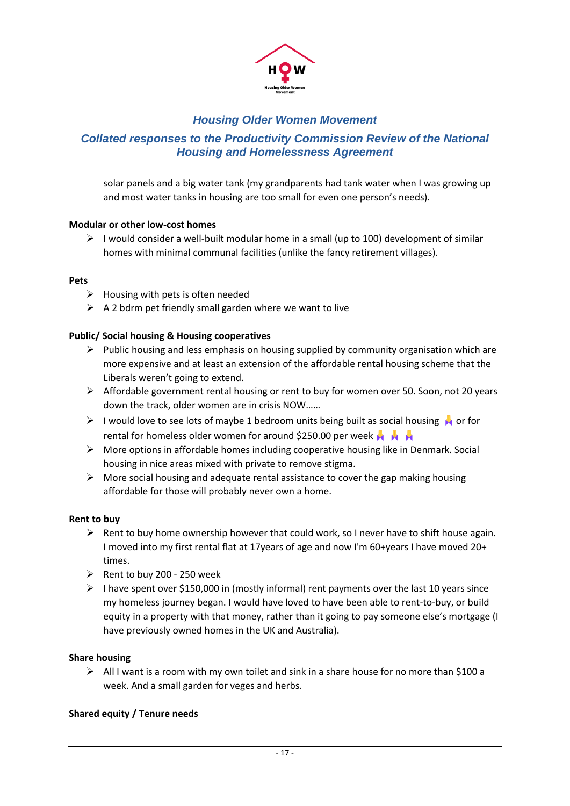

### *Collated responses to the Productivity Commission Review of the National Housing and Homelessness Agreement*

solar panels and a big water tank (my grandparents had tank water when I was growing up and most water tanks in housing are too small for even one person's needs).

#### **Modular or other low-cost homes**

 $\triangleright$  I would consider a well-built modular home in a small (up to 100) development of similar homes with minimal communal facilities (unlike the fancy retirement villages).

#### **Pets**

- $\triangleright$  Housing with pets is often needed
- $\triangleright$  A 2 bdrm pet friendly small garden where we want to live

#### **Public/ Social housing & Housing cooperatives**

- $\triangleright$  Public housing and less emphasis on housing supplied by community organisation which are more expensive and at least an extension of the affordable rental housing scheme that the Liberals weren't going to extend.
- ➢ Affordable government rental housing or rent to buy for women over 50. Soon, not 20 years down the track, older women are in crisis NOW……
- $\triangleright$  I would love to see lots of maybe 1 bedroom units being built as social housing  $\triangleright$  or for rental for homeless older women for around \$250.00 per week  $\mathbf{A}$
- ➢ More options in affordable homes including cooperative housing like in Denmark. Social housing in nice areas mixed with private to remove stigma.
- ➢ More social housing and adequate rental assistance to cover the gap making housing affordable for those will probably never own a home.

#### **Rent to buy**

- $\triangleright$  Rent to buy home ownership however that could work, so I never have to shift house again. I moved into my first rental flat at 17years of age and now I'm 60+years I have moved 20+ times.
- $\triangleright$  Rent to buy 200 250 week
- $\triangleright$  I have spent over \$150,000 in (mostly informal) rent payments over the last 10 years since my homeless journey began. I would have loved to have been able to rent-to-buy, or build equity in a property with that money, rather than it going to pay someone else's mortgage (I have previously owned homes in the UK and Australia).

#### **Share housing**

 $\triangleright$  All I want is a room with my own toilet and sink in a share house for no more than \$100 a week. And a small garden for veges and herbs.

#### **Shared equity / Tenure needs**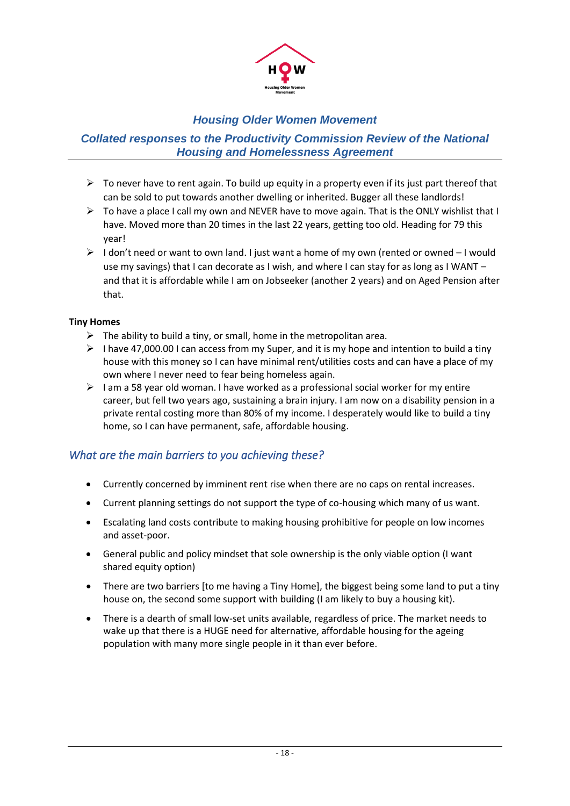

### *Collated responses to the Productivity Commission Review of the National Housing and Homelessness Agreement*

- $\triangleright$  To never have to rent again. To build up equity in a property even if its just part thereof that can be sold to put towards another dwelling or inherited. Bugger all these landlords!
- $\triangleright$  To have a place I call my own and NEVER have to move again. That is the ONLY wishlist that I have. Moved more than 20 times in the last 22 years, getting too old. Heading for 79 this year!
- $\triangleright$  I don't need or want to own land. I just want a home of my own (rented or owned  $-1$  would use my savings) that I can decorate as I wish, and where I can stay for as long as I WANT and that it is affordable while I am on Jobseeker (another 2 years) and on Aged Pension after that.

#### **Tiny Homes**

- $\triangleright$  The ability to build a tiny, or small, home in the metropolitan area.
- $\triangleright$  I have 47,000.00 I can access from my Super, and it is my hope and intention to build a tiny house with this money so I can have minimal rent/utilities costs and can have a place of my own where I never need to fear being homeless again.
- <span id="page-17-0"></span> $\triangleright$  I am a 58 year old woman. I have worked as a professional social worker for my entire career, but fell two years ago, sustaining a brain injury. I am now on a disability pension in a private rental costing more than 80% of my income. I desperately would like to build a tiny home, so I can have permanent, safe, affordable housing.

### *What are the main barriers to you achieving these?*

- Currently concerned by imminent rent rise when there are no caps on rental increases.
- Current planning settings do not support the type of co-housing which many of us want.
- Escalating land costs contribute to making housing prohibitive for people on low incomes and asset-poor.
- General public and policy mindset that sole ownership is the only viable option (I want shared equity option)
- There are two barriers [to me having a Tiny Home], the biggest being some land to put a tiny house on, the second some support with building (I am likely to buy a housing kit).
- There is a dearth of small low-set units available, regardless of price. The market needs to wake up that there is a HUGE need for alternative, affordable housing for the ageing population with many more single people in it than ever before.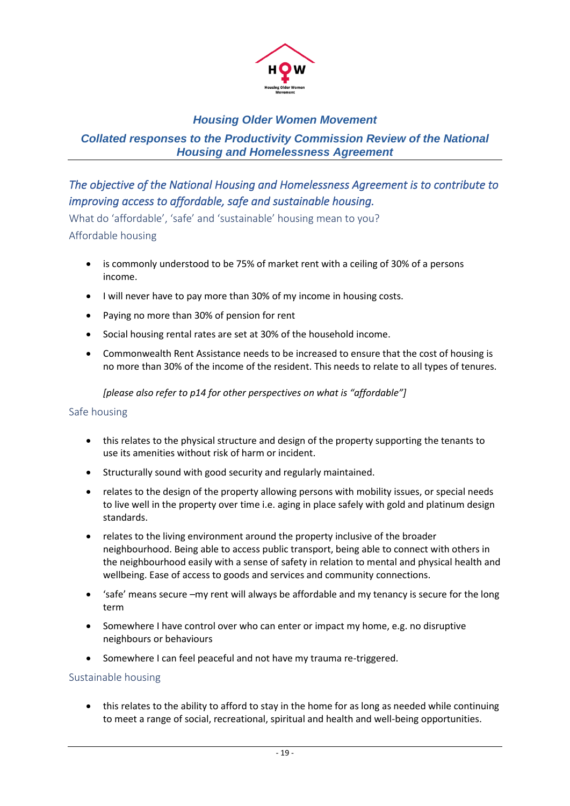

### *Collated responses to the Productivity Commission Review of the National Housing and Homelessness Agreement*

# <span id="page-18-0"></span>*The objective of the National Housing and Homelessness Agreement is to contribute to improving access to affordable, safe and sustainable housing.*

<span id="page-18-2"></span><span id="page-18-1"></span>What do 'affordable', 'safe' and 'sustainable' housing mean to you? Affordable housing

- is commonly understood to be 75% of market rent with a ceiling of 30% of a persons income.
- I will never have to pay more than 30% of my income in housing costs.
- Paying no more than 30% of pension for rent
- Social housing rental rates are set at 30% of the household income.
- Commonwealth Rent Assistance needs to be increased to ensure that the cost of housing is no more than 30% of the income of the resident. This needs to relate to all types of tenures.

*[please also refer to p14 for other perspectives on what is "affordable"]*

#### <span id="page-18-3"></span>Safe housing

- this relates to the physical structure and design of the property supporting the tenants to use its amenities without risk of harm or incident.
- Structurally sound with good security and regularly maintained.
- relates to the design of the property allowing persons with mobility issues, or special needs to live well in the property over time i.e. aging in place safely with gold and platinum design standards.
- relates to the living environment around the property inclusive of the broader neighbourhood. Being able to access public transport, being able to connect with others in the neighbourhood easily with a sense of safety in relation to mental and physical health and wellbeing. Ease of access to goods and services and community connections.
- 'safe' means secure –my rent will always be affordable and my tenancy is secure for the long term
- Somewhere I have control over who can enter or impact my home, e.g. no disruptive neighbours or behaviours
- Somewhere I can feel peaceful and not have my trauma re-triggered.

#### <span id="page-18-4"></span>Sustainable housing

• this relates to the ability to afford to stay in the home for as long as needed while continuing to meet a range of social, recreational, spiritual and health and well-being opportunities.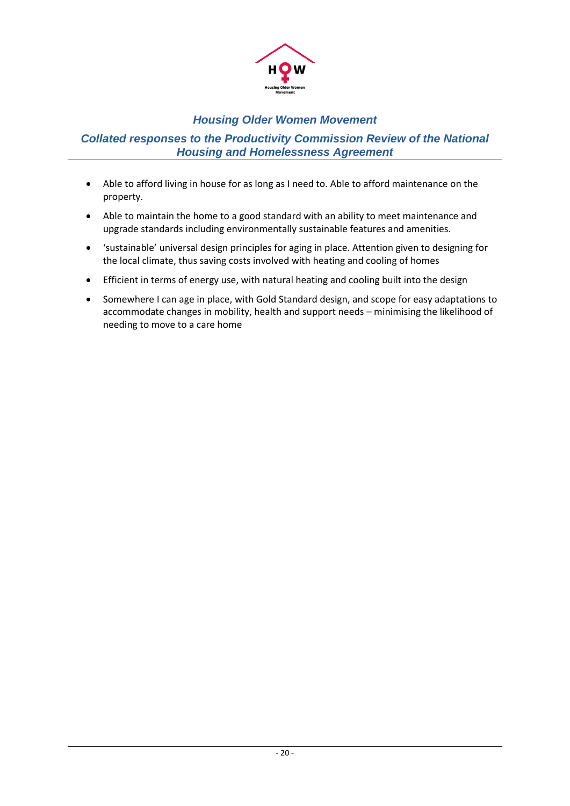

#### *Collated responses to the Productivity Commission Review of the National Housing and Homelessness Agreement*

- Able to afford living in house for as long as I need to. Able to afford maintenance on the property.
- Able to maintain the home to a good standard with an ability to meet maintenance and upgrade standards including environmentally sustainable features and amenities.
- 'sustainable' universal design principles for aging in place. Attention given to designing for the local climate, thus saving costs involved with heating and cooling of homes
- Efficient in terms of energy use, with natural heating and cooling built into the design
- Somewhere I can age in place, with Gold Standard design, and scope for easy adaptations to accommodate changes in mobility, health and support needs – minimising the likelihood of needing to move to a care home